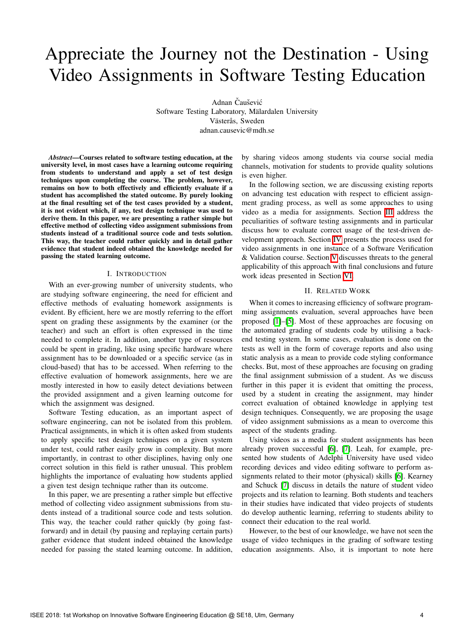# Appreciate the Journey not the Destination - Using Video Assignments in Software Testing Education

Adnan Čaušević

Software Testing Laboratory, Mälardalen University Västerås, Sweden adnan.causevic@mdh.se

*Abstract*—Courses related to software testing education, at the university level, in most cases have a learning outcome requiring from students to understand and apply a set of test design techniques upon completing the course. The problem, however, remains on how to both effectively and efficiently evaluate if a student has accomplished the stated outcome. By purely looking at the final resulting set of the test cases provided by a student, it is not evident which, if any, test design technique was used to derive them. In this paper, we are presenting a rather simple but effective method of collecting video assignment submissions from students instead of a traditional source code and tests solution. This way, the teacher could rather quickly and in detail gather evidence that student indeed obtained the knowledge needed for passing the stated learning outcome.

# I. INTRODUCTION

With an ever-growing number of university students, who are studying software engineering, the need for efficient and effective methods of evaluating homework assignments is evident. By efficient, here we are mostly referring to the effort spent on grading these assignments by the examiner (or the teacher) and such an effort is often expressed in the time needed to complete it. In addition, another type of resources could be spent in grading, like using specific hardware where assignment has to be downloaded or a specific service (as in cloud-based) that has to be accessed. When referring to the effective evaluation of homework assignments, here we are mostly interested in how to easily detect deviations between the provided assignment and a given learning outcome for which the assignment was designed.

Software Testing education, as an important aspect of software engineering, can not be isolated from this problem. Practical assignments, in which it is often asked from students to apply specific test design techniques on a given system under test, could rather easily grow in complexity. But more importantly, in contrast to other disciplines, having only one correct solution in this field is rather unusual. This problem highlights the importance of evaluating how students applied a given test design technique rather than its outcome.

In this paper, we are presenting a rather simple but effective method of collecting video assignment submissions from students instead of a traditional source code and tests solution. This way, the teacher could rather quickly (by going fastforward) and in detail (by pausing and replaying certain parts) gather evidence that student indeed obtained the knowledge needed for passing the stated learning outcome. In addition,

by sharing videos among students via course social media channels, motivation for students to provide quality solutions is even higher.

In the following section, we are discussing existing reports on advancing test education with respect to efficient assignment grading process, as well as some approaches to using video as a media for assignments. Section **III** address the peculiarities of software testing assignments and in particular discuss how to evaluate correct usage of the test-driven development approach. Section [IV](#page-2-1) presents the process used for video assignments in one instance of a Software Verification & [V](#page--1-0)alidation course. Section  $\overline{V}$  discusses threats to the general applicability of this approach with final conclusions and future work ideas presented in Section [VI.](#page--1-1)

## II. RELATED WORK

When it comes to increasing efficiency of software programming assignments evaluation, several approaches have been proposed  $\boxed{1}$ – $\boxed{5}$ . Most of these approaches are focusing on the automated grading of students code by utilising a backend testing system. In some cases, evaluation is done on the tests as well in the form of coverage reports and also using static analysis as a mean to provide code styling conformance checks. But, most of these approaches are focusing on grading the final assignment submission of a student. As we discuss further in this paper it is evident that omitting the process, used by a student in creating the assignment, may hinder correct evaluation of obtained knowledge in applying test design techniques. Consequently, we are proposing the usage of video assignment submissions as a mean to overcome this aspect of the students grading.

Using videos as a media for student assignments has been already proven successful  $\overline{6}$ ,  $\overline{7}$ . Leah, for example, presented how students of Adelphi University have used video recording devices and video editing software to perform assignments related to their motor (physical) skills **[\[6\]](#page--1-4)**. Kearney and Schuck  $\sqrt{7}$  discuss in details the nature of student video projects and its relation to learning. Both students and teachers in their studies have indicated that video projects of students do develop authentic learning, referring to students ability to connect their education to the real world.

However, to the best of our knowledge, we have not seen the usage of video techniques in the grading of software testing education assignments. Also, it is important to note here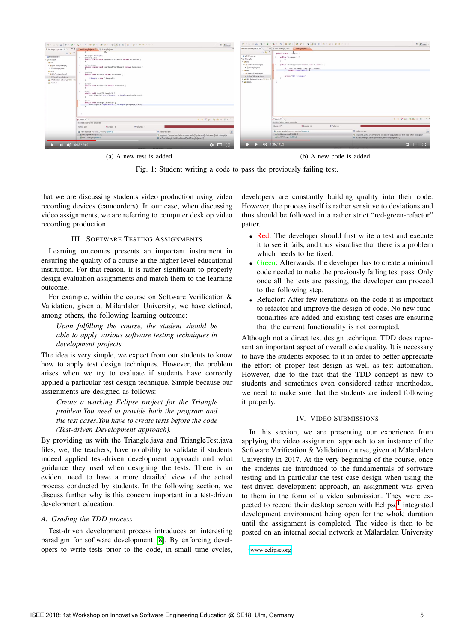|                                                                                                                                                                                                                                                                                        |                                                                                                                                                                                                                                                                                                                                                                                                                                                                                                                                                                                                                   | $73$ $R/3$ ava -                                                                                                                                                                                                                                                                          | $\Box + \Box \Box \Box \Box \Box$                                                                                                                                                                                                               | $E$ <sup>2</sup> ava                                                                                                                                                                           |
|----------------------------------------------------------------------------------------------------------------------------------------------------------------------------------------------------------------------------------------------------------------------------------------|-------------------------------------------------------------------------------------------------------------------------------------------------------------------------------------------------------------------------------------------------------------------------------------------------------------------------------------------------------------------------------------------------------------------------------------------------------------------------------------------------------------------------------------------------------------------------------------------------------------------|-------------------------------------------------------------------------------------------------------------------------------------------------------------------------------------------------------------------------------------------------------------------------------------------|-------------------------------------------------------------------------------------------------------------------------------------------------------------------------------------------------------------------------------------------------|------------------------------------------------------------------------------------------------------------------------------------------------------------------------------------------------|
| $\blacksquare$<br>12 Package Explorer 31<br><b>B &amp; "</b><br>di biblioteka-si<br>v Si Triangle<br><b>T</b> @ src<br>▼ @ (default package)<br>> (i) Triangle java<br>" (B test<br>* @ (default package)<br>· D TestTriangle.java<br>IN JRE System Library [J2SE-1.5]<br>* mi JUnit 4 | TestTriangle.java II E Triangle.java<br>Triangle triangle;<br>@@eforeClass<br>public static void setUpBeforeClass() throws Exception {<br>- eafterClass<br>public static void tearDownAfterClass() throws Exception {<br><i><u>ABefore</u></i><br>$-0.1$<br>public void setUp() throws Exception {<br>triangle = new Triangle();<br>GAfter<br>$\sim$<br>public void tearDown() throws Exception (<br>@Test<br>a.<br>public void testIfTriangle() {<br>assertEquals("Not triangle", triangle.getType(1,2,3));<br>gTest<br>public void testEquilateral() {<br>assertEquals("Equilateral", triangle.getType(4,4,4)); | <b>2</b> Package Explorer 22<br>$\sim$<br>di biblioteka-si<br>v gi Triangle<br><b>v</b> @ src<br><sup>v</sup> ili (default package)<br>• @ Triangle.java<br>* @ test<br>* ili (default package)<br>> (i) Test Triangle java<br>* M. JRE System Library [J2SE-1.5]<br><b>* all JUnit 4</b> | " D TestTriangle.java<br>Triangle java El<br>日有中<br>public class Triangle (<br>public Triangle() {<br>public String getType(int a, int b, int c) {<br>if $($ a < b+c 66 b < a+c 66 c < b+a){<br>return "Equilatoral";<br>return "Not triangle": |                                                                                                                                                                                                |
|                                                                                                                                                                                                                                                                                        | dv JUnit 31<br>Finished after 0.065 seconds<br><b>B</b> Failures: 1<br><b>Runs: 2/2</b><br><b>BErrors: 0</b>                                                                                                                                                                                                                                                                                                                                                                                                                                                                                                      | 9999998887777                                                                                                                                                                                                                                                                             | o <sup>0</sup> JUnit 31<br>Finished after 0.065 seconds<br><b>B</b> Failures: 1<br><b>BErrors: 0</b><br>Runs: 2/2                                                                                                                               | 0 9 a 51 Q 8 = 11 - 7 =                                                                                                                                                                        |
|                                                                                                                                                                                                                                                                                        | * El TestTriangle [Runner: JUnit 4] (0.024 s]<br>E Failure Trace<br>all testEquilateral (0.022 s)<br><sup>1</sup> org.junit.ComparisonFailure: expected:< (Equilateral)> but was:< [Not triangle]><br>di testifTriangle (0.001 s)<br>E at TestTriangle.testEquilateral(TestTriangle.java:41)                                                                                                                                                                                                                                                                                                                      |                                                                                                                                                                                                                                                                                           | v & TestTriangle [Runner: JUnit 4] (0.024 s)<br>all testEquilateral (0.022 s)<br>di testifTriangle (0.001 s)                                                                                                                                    | <b>E</b> Failure Trace<br>D.<br><sup>1</sup> org.junit.ComparisonFailure: expected:< Equilateral]> but was:< [Not triangle]><br>$\equiv$ at TestTriangle.testEquilateral(TestTriangle.java:41) |
| $  $ (i) 0:48 / 3:02                                                                                                                                                                                                                                                                   |                                                                                                                                                                                                                                                                                                                                                                                                                                                                                                                                                                                                                   | $\bullet$ $\Box$ $\Box$                                                                                                                                                                                                                                                                   | $\blacktriangleright$ $\blacktriangleright$   $\blacktriangleleft$   1:06 / 3:02                                                                                                                                                                | $\bullet$ $\Box$ $\Box$                                                                                                                                                                        |

(a) A new test is added (b) A new code is added

Fig. 1: Student writing a code to pass the previously failing test.

that we are discussing students video production using video recording devices (camcorders). In our case, when discussing video assignments, we are referring to computer desktop video recording production.

#### III. SOFTWARE TESTING ASSIGNMENTS

Learning outcomes presents an important instrument in ensuring the quality of a course at the higher level educational institution. For that reason, it is rather significant to properly design evaluation assignments and match them to the learning outcome.

For example, within the course on Software Verification & Validation, given at Mälardalen University, we have defined, among others, the following learning outcome:

*Upon fulfilling the course, the student should be able to apply various software testing techniques in development projects.*

The idea is very simple, we expect from our students to know how to apply test design techniques. However, the problem arises when we try to evaluate if students have correctly applied a particular test design technique. Simple because our assignments are designed as follows:

*Create a working Eclipse project for the Triangle problem.You need to provide both the program and the test cases.You have to create tests before the code (Test-driven Development approach).*

By providing us with the Triangle.java and TriangleTest.java files, we, the teachers, have no ability to validate if students indeed applied test-driven development approach and what guidance they used when designing the tests. There is an evident need to have a more detailed view of the actual process conducted by students. In the following section, we discuss further why is this concern important in a test-driven development education.

#### *A. Grading the TDD process*

Test-driven development process introduces an interesting paradigm for software development [\[8\]](#page--1-6). By enforcing developers to write tests prior to the code, in small time cycles,

developers are constantly building quality into their code. However, the process itself is rather sensitive to deviations and thus should be followed in a rather strict "red-green-refactor" patter.

- *•* Red: The developer should first write a test and execute it to see it fails, and thus visualise that there is a problem which needs to be fixed.
- *•* Green: Afterwards, the developer has to create a minimal code needed to make the previously failing test pass. Only once all the tests are passing, the developer can proceed to the following step.
- Refactor: After few iterations on the code it is important to refactor and improve the design of code. No new functionalities are added and existing test cases are ensuring that the current functionality is not corrupted.

Although not a direct test design technique, TDD does represent an important aspect of overall code quality. It is necessary to have the students exposed to it in order to better appreciate the effort of proper test design as well as test automation. However, due to the fact that the TDD concept is new to students and sometimes even considered rather unorthodox, we need to make sure that the students are indeed following it properly.

# IV. VIDEO SUBMISSIONS

In this section, we are presenting our experience from applying the video assignment approach to an instance of the Software Verification & Validation course, given at Mälardalen University in 2017. At the very beginning of the course, once the students are introduced to the fundamentals of software testing and in particular the test case design when using the test-driven development approach, an assignment was given to them in the form of a video submission. They were ex-pected to record their desktop screen with Eclipse<sup>[1](#page-2-2)</sup> integrated development environment being open for the whole duration until the assignment is completed. The video is then to be posted on an internal social network at Mälardalen University

<sup>1</sup>www.eclipse.org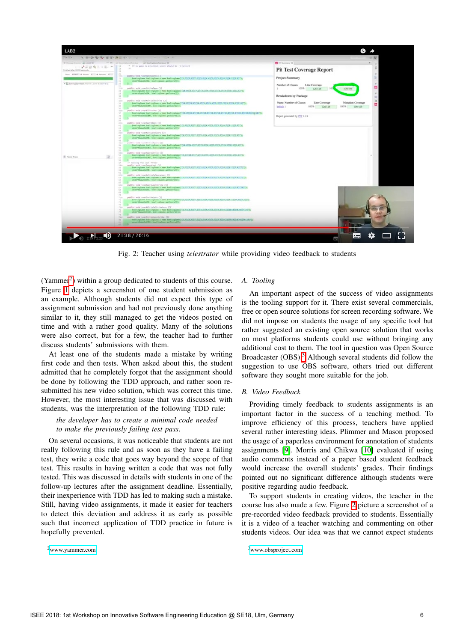<span id="page-2-3"></span>

Fig. 2: Teacher using *telestrator* while providing video feedback to students

<span id="page-2-0"></span> $(Yammer<sup>2</sup>)$  within a group dedicated to students of this course. Figure  $\overline{1}$  depicts a screenshot of one student submission as an example. Although students did not expect this type of assignment submission and had not previously done anything similar to it, they still managed to get the videos posted on time and with a rather good quality. Many of the solutions were also correct, but for a few, the teacher had to further discuss students' submissions with them.

At least one of the students made a mistake by writing first code and then tests. When asked about this, the student admitted that he completely forgot that the assignment should be done by following the TDD approach, and rather soon resubmitted his new video solution, which was correct this time. However, the most interesting issue that was discussed with students, was the interpretation of the following TDD rule:

# *the developer has to create a minimal code needed to make the previously failing test pass*.

On several occasions, it was noticeable that students are not really following this rule and as soon as they have a failing test, they write a code that goes way beyond the scope of that test. This results in having written a code that was not fully tested. This was discussed in details with students in one of the follow-up lectures after the assignment deadline. Essentially, their inexperience with TDD has led to making such a mistake. Still, having video assignments, it made it easier for teachers to detect this deviation and address it as early as possible such that incorrect application of TDD practice in future is hopefully prevented.

[2www.yammer.com](www.yammer.com)

# *A. Tooling*

An important aspect of the success of video assignments is the tooling support for it. There exist several commercials, free or open source solutions for screen recording software. We did not impose on students the usage of any specific tool but rather suggested an existing open source solution that works on most platforms students could use without bringing any additional cost to them. The tool in question was Open Source Broadcaster  $(OBS)$ .<sup>[3](#page-3-1)</sup> Although several students did follow the suggestion to use OBS software, others tried out different software they sought more suitable for the job.

## *B. Video Feedback*

<span id="page-2-1"></span>Providing timely feedback to students assignments is an important factor in the success of a teaching method. To improve efficiency of this process, teachers have applied several rather interesting ideas. Plimmer and Mason proposed the usage of a paperless environment for annotation of students assignments  $[9]$ . Morris and Chikwa  $[10]$  evaluated if using audio comments instead of a paper based student feedback would increase the overall students' grades. Their findings pointed out no significant difference although students were positive regarding audio feedback.

To support students in creating videos, the teacher in the course has also made a few. Figure  $\sqrt{2}$  picture a screenshot of a pre-recorded video feedback provided to students. Essentially it is a video of a teacher watching and commenting on other students videos. Our idea was that we cannot expect students

<span id="page-2-2"></span><sup>3</sup>www.obsproject.com